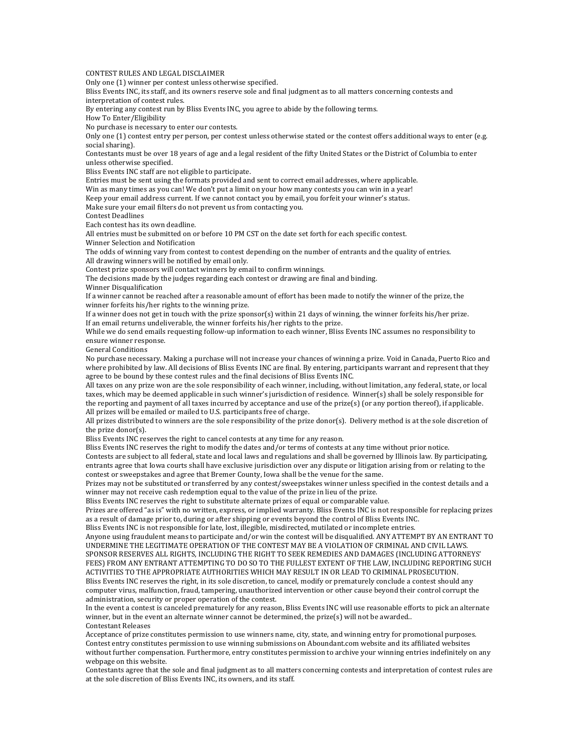CONTEST RULES AND LEGAL DISCLAIMER

Only one (1) winner per contest unless otherwise specified.

Bliss Events INC, its staff, and its owners reserve sole and final judgment as to all matters concerning contests and interpretation of contest rules.

By entering any contest run by Bliss Events INC, you agree to abide by the following terms.

How To Enter/Eligibility

No purchase is necessary to enter our contests.

Only one (1) contest entry per person, per contest unless otherwise stated or the contest offers additional ways to enter (e.g. social sharing).

Contestants must be over 18 years of age and a legal resident of the fifty United States or the District of Columbia to enter unless otherwise specified.

Bliss Events INC staff are not eligible to participate.

Entries must be sent using the formats provided and sent to correct email addresses, where applicable.

Win as many times as you can! We don't put a limit on your how many contests you can win in a year!

Keep your email address current. If we cannot contact you by email, you forfeit your winner's status.

Make sure your email filters do not prevent us from contacting you.

Contest Deadlines

Each contest has its own deadline.

All entries must be submitted on or before 10 PM CST on the date set forth for each specific contest. Winner Selection and Notification

The odds of winning vary from contest to contest depending on the number of entrants and the quality of entries.

All drawing winners will be notified by email only.

Contest prize sponsors will contact winners by email to confirm winnings.

The decisions made by the judges regarding each contest or drawing are final and binding.

Winner Disqualification

If a winner cannot be reached after a reasonable amount of effort has been made to notify the winner of the prize, the winner forfeits his/her rights to the winning prize.

If a winner does not get in touch with the prize sponsor(s) within 21 days of winning, the winner forfeits his/her prize. If an email returns undeliverable, the winner forfeits his/her rights to the prize.

While we do send emails requesting follow-up information to each winner, Bliss Events INC assumes no responsibility to ensure winner response.

General Conditions

No purchase necessary. Making a purchase will not increase your chances of winning a prize. Void in Canada, Puerto Rico and where prohibited by law. All decisions of Bliss Events INC are final. By entering, participants warrant and represent that they agree to be bound by these contest rules and the final decisions of Bliss Events INC.

All taxes on any prize won are the sole responsibility of each winner, including, without limitation, any federal, state, or local taxes, which may be deemed applicable in such winner's jurisdiction of residence. Winner(s) shall be solely responsible for the reporting and payment of all taxes incurred by acceptance and use of the prize(s) (or any portion thereof), if applicable. All prizes will be emailed or mailed to U.S. participants free of charge.

All prizes distributed to winners are the sole responsibility of the prize  $donor(s)$ . Delivery method is at the sole discretion of the prize donor(s).

Bliss Events INC reserves the right to cancel contests at any time for any reason.

Bliss Events INC reserves the right to modify the dates and/or terms of contests at any time without prior notice.

Contests are subject to all federal, state and local laws and regulations and shall be governed by Illinois law. By participating, entrants agree that lowa courts shall have exclusive jurisdiction over any dispute or litigation arising from or relating to the contest or sweepstakes and agree that Bremer County, Iowa shall be the venue for the same.

Prizes may not be substituted or transferred by any contest/sweepstakes winner unless specified in the contest details and a winner may not receive cash redemption equal to the value of the prize in lieu of the prize.

Bliss Events INC reserves the right to substitute alternate prizes of equal or comparable value.

Prizes are offered "as is" with no written, express, or implied warranty. Bliss Events INC is not responsible for replacing prizes as a result of damage prior to, during or after shipping or events beyond the control of Bliss Events INC.

Bliss Events INC is not responsible for late, lost, illegible, misdirected, mutilated or incomplete entries. Anyone using fraudulent means to participate and/or win the contest will be disqualified. ANY ATTEMPT BY AN ENTRANT TO UNDERMINE THE LEGITIMATE OPERATION OF THE CONTEST MAY BE A VIOLATION OF CRIMINAL AND CIVIL LAWS.

SPONSOR RESERVES ALL RIGHTS, INCLUDING THE RIGHT TO SEEK REMEDIES AND DAMAGES (INCLUDING ATTORNEYS' FEES) FROM ANY ENTRANT ATTEMPTING TO DO SO TO THE FULLEST EXTENT OF THE LAW, INCLUDING REPORTING SUCH ACTIVITIES TO THE APPROPRIATE AUTHORITIES WHICH MAY RESULT IN OR LEAD TO CRIMINAL PROSECUTION.

Bliss Events INC reserves the right, in its sole discretion, to cancel, modify or prematurely conclude a contest should any computer virus, malfunction, fraud, tampering, unauthorized intervention or other cause beyond their control corrupt the administration, security or proper operation of the contest.

In the event a contest is canceled prematurely for any reason, Bliss Events INC will use reasonable efforts to pick an alternate winner, but in the event an alternate winner cannot be determined, the prize(s) will not be awarded.. Contestant Releases

Acceptance of prize constitutes permission to use winners name, city, state, and winning entry for promotional purposes. Contest entry constitutes permission to use winning submissions on Aboundant.com website and its affiliated websites without further compensation. Furthermore, entry constitutes permission to archive your winning entries indefinitely on any webpage on this website.

Contestants agree that the sole and final judgment as to all matters concerning contests and interpretation of contest rules are at the sole discretion of Bliss Events INC, its owners, and its staff.